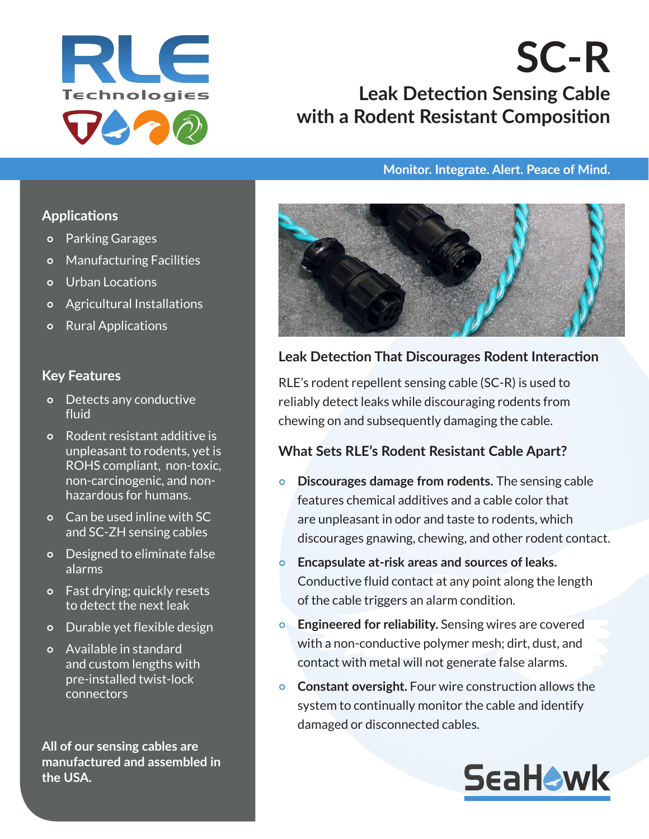

# **SC-R Leak Detection Sensing Cable with a Rodent Resistant Composition**

#### **Monitor. Integrate. Alert. Peace of Mind.**

#### **Applications**

- Parking Garages
- Manufacturing Facilities
- o Urban Locations
- Agricultural Installations
- Rural Applications

#### **Key Features**

- Detects any conductive fluid
- Rodent resistant additive is unpleasant to rodents, yet is ROHS compliant, non-toxic, non-carcinogenic, and nonhazardous for humans.
- Can be used inline with SC and SC-ZH sensing cables
- Designed to eliminate false alarms
- Fast drying; quickly resets to detect the next leak
- Durable yet flexible design
- Available in standard and custom lengths with pre-installed twist-lock connectors

**All of our sensing cables are manufactured and assembled in the USA.**



### **Leak Detection That Discourages Rodent Interaction**

RLE's rodent repellent sensing cable (SC-R) is used to reliably detect leaks while discouraging rodents from chewing on and subsequently damaging the cable.

#### **What Sets RLE's Rodent Resistant Cable Apart?**

- **Discourages damage from rodents.** The sensing cable features chemical additives and a cable color that are unpleasant in odor and taste to rodents, which discourages gnawing, chewing, and other rodent contact.
- **Encapsulate at-risk areas and sources of leaks.** Conductive fluid contact at any point along the length of the cable triggers an alarm condition.
- **Engineered for reliability.** Sensing wires are covered with a non-conductive polymer mesh; dirt, dust, and contact with metal will not generate false alarms.
- **Constant oversight.** Four wire construction allows the system to continually monitor the cable and identify damaged or disconnected cables.